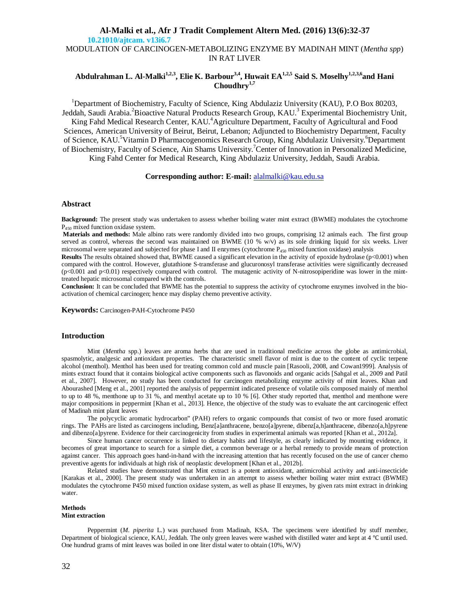## **Al-Malki et al., Afr J Tradit Complement Altern Med. (2016) 13(6):32-37 10.21010/ajtcam. v13i6.7** MODULATION OF CARCINOGEN-METABOLIZING ENZYME BY MADINAH MINT (*Mentha spp*) IN RAT LIVER

# **Abdulrahman L. Al-Malki1,2,3 , Elie K. Barbour3,4 , Huwait EA1,2,5 Said S. Moselhy1,2,3,6 and Hani Choudhry1,7**

<sup>1</sup>Department of Biochemistry, Faculty of Science, King Abdulaziz University (KAU), P.O Box 80203, Jeddah, Saudi Arabia.<sup>2</sup> Bioactive Natural Products Research Group, KAU.<sup>3</sup> Experimental Biochemistry Unit, King Fahd Medical Research Center, KAU.<sup>4</sup> Agriculture Department, Faculty of Agricultural and Food Sciences, American University of Beirut, Beirut, Lebanon; Adjuncted to Biochemistry Department, Faculty of Science, KAU.<sup>5</sup>Vitamin D Pharmacogenomics Research Group, King Abdulaziz University.<sup>6</sup>Department of Biochemistry, Faculty of Science, Ain Shams University. <sup>7</sup>Center of Innovation in Personalized Medicine, King Fahd Center for Medical Research, King Abdulaziz University, Jeddah, Saudi Arabia.

## **Corresponding author: E-mail:** alalmalki@kau.edu.sa

#### **Abstract**

**Background:** The present study was undertaken to assess whether boiling water mint extract (BWME) modulates the cytochrome P<sup>450</sup> mixed function oxidase system.

**Materials and methods:** Male albino rats were randomly divided into two groups, comprising 12 animals each. The first group served as control, whereas the second was maintained on BWME (10 % w/v) as its sole drinking liquid for six weeks. Liver microsomal were separated and subjected for phase I and II enzymes (cytochrome P<sup>450</sup> mixed function oxidase) analysis

**Results** The results obtained showed that, BWME caused a significant elevation in the activity of epoxide hydrolase (p<0.001) when compared with the control. However, glutathione S-transferase and glucuronosyl transferase activities were significantly decreased  $(p<0.001$  and  $p<0.01$ ) respectively compared with control. The mutagenic activity of N-nitrosopiperidine was lower in the minttreated hepatic microsomal compared with the controls.

**Conclusion:** It can be concluded that BWME has the potential to suppress the activity of cytochrome enzymes involved in the bioactivation of chemical carcinogen; hence may display chemo preventive activity.

**Keywords:** Carcinogen-PAH-Cytochrome P450

#### **Introduction**

Mint (*Mentha* spp.) leaves are aroma herbs that are used in traditional medicine across the globe as antimicrobial, spasmolytic, analgesic and antioxidant properties. The characteristic smell flavor of mint is due to the content of cyclic terpene alcohol (menthol). Menthol has been used for treating common cold and muscle pain [Rasooli, 2008, and Cowan1999]. Analysis of mints extract found that it contains biological active components such as flavonoids and organic acids [Sahgal et al., 2009 and Patil et al., 2007]. However, no study has been conducted for carcinogen metabolizing enzyme activity of mint leaves. Khan and Abourashed [Meng et al., 2001] reported the analysis of peppermint indicated presence of volatile oils composed mainly of menthol to up to 48 %, menthone up to 31 %, and menthyl acetate up to 10 % [6]. Other study reported that, menthol and menthone were major compositions in peppermint [Khan et al., 2013]. Hence, the objective of the study was to evaluate the ant carcinogenic effect of Madinah mint plant leaves

The polycyclic aromatic hydrocarbon" (PAH) refers to organic compounds that consist of two or more fused aromatic rings. The PAHs are listed as carcinogens including, Benz[a]anthracene, benzo[a]pyrene, dibenz[a,h]anthracene, dibenzo[a,h]pyrene and dibenzo[a]pyrene. Evidence for their carcinogenicity from studies in experimental animals was reported [Khan et al., 2012a].

Since human cancer occurrence is linked to dietary habits and lifestyle, as clearly indicated by mounting evidence, it becomes of great importance to search for a simple diet, a common beverage or a herbal remedy to provide means of protection against cancer. This approach goes hand-in-hand with the increasing attention that has recently focused on the use of cancer chemo preventive agents for individuals at high risk of neoplastic development [Khan et al., 2012b].

Related studies have demonstrated that Mint extract is a potent antioxidant, antimicrobial activity and anti-insecticide [Karakas et al., 2000]. The present study was undertaken in an attempt to assess whether boiling water mint extract (BWME) modulates the cytochrome P450 mixed function oxidase system, as well as phase II enzymes, by given rats mint extract in drinking water.

## **Methods**

## **Mint extraction**

Peppermint (*M. piperita* L.) was purchased from Madinah, KSA. The specimens were identified by stuff member, Department of biological science, KAU, Jeddah. The only green leaves were washed with distilled water and kept at 4 ℃ until used. One hundrud grams of mint leaves was boiled in one liter distal water to obtain (10%, W/V)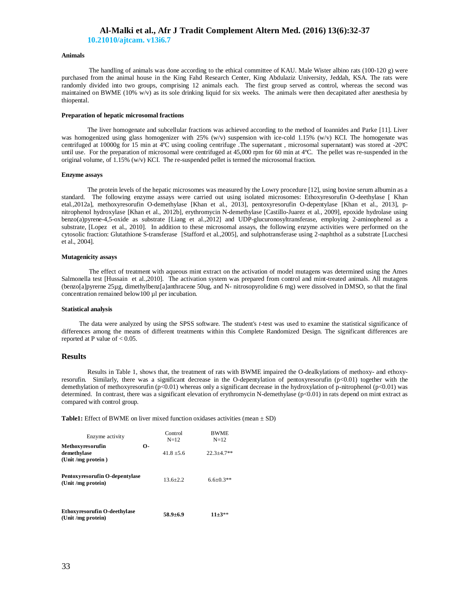**10.21010/ajtcam. v13i6.7**

## **Animals**

The handling of animals was done according to the ethical committee of KAU. Male Wister albino rats (100-120 g) were purchased from the animal house in the King Fahd Research Center, King Abdulaziz University, Jeddah, KSA. The rats were randomly divided into two groups, comprising 12 animals each. The first group served as control, whereas the second was maintained on BWME (10% w/v) as its sole drinking liquid for six weeks. The animals were then decapitated after anesthesia by thiopental.

#### **Preparation of hepatic microsomal fractions**

The liver homogenate and subcellular fractions was achieved according to the method of Ioannides and Parke [11]. Liver was homogenized using glass homogenizer with 25% (w/v) suspension with ice-cold 1.15% (w/v) KCI. The homogenate was centrifuged at 10000g for 15 min at 4ºC using cooling centrifuge .The supernatant , microsomal supernatant) was stored at -20ºC until use. For the preparation of microsomal were centrifuged at 45,000 rpm for 60 min at 4ºC. The pellet was re-suspended in the original volume, of 1.15% (w/v) KCI. The re-suspended pellet is termed the microsomal fraction.

#### **Enzyme assays**

The protein levels of the hepatic microsomes was measured by the Lowry procedure [12], using bovine serum albumin as a standard. The following enzyme assays were carried out using isolated microsomes: Ethoxyresorufin O-deethylase [ Khan etal.,2012a], methoxyresorufin O-demethylase [Khan et al., 2013], pentoxyresorufin O-depentylase [Khan et al., 2013], pnitrophenol hydroxylase [Khan et al., 2012b], erythromycin N-demethylase [Castillo-Juarez et al., 2009], epoxide hydrolase using benzo(a)pyrene-4,5-oxide as substrate [Liang et al.,2012] and UDP-glucuronosyltransferase, employing 2-aminophenol as a substrate, [Lopez et al., 2010]. In addition to these microsomal assays, the following enzyme activities were performed on the cytosolic fraction: Glutathione S-transferase [Stafford et al.,2005], and sulphotransferase using 2-naphthol as a substrate [Lucchesi et al., 2004].

#### **Mutagenicity assays**

The effect of treatment with aqueous mint extract on the activation of model mutagens was determined using the Ames Salmonella test [Hussain et al.,2010]. The activation system was prepared from control and mint-treated animals. All mutagens (benzo[a]pyrerne 25µg, dimethylbenz[a]anthracene 50ug, and N- nitrosopyrolidine 6 mg) were dissolved in DMSO, so that the final concentration remained below100 µl per incubation.

#### **Statistical analysis**

 The data were analyzed by using the SPSS software. The student's *t*-test was used to examine the statistical significance of differences among the means of different treatments within this Complete Randomized Design. The significant differences are reported at P value of  $< 0.05$ .

#### **Results**

Results in Table 1, shows that, the treatment of rats with BWME impaired the O-dealkylations of methoxy- and ethoxyresorufin. Similarly, there was a significant decrease in the O-depentylation of pentoxyresorufin (p<0.01) together with the demethylation of methoxyresorufin (p<0.01) whereas only a significant decrease in the hydroxylation of p-nitrophenol (p<0.01) was determined. In contrast, there was a significant elevation of erythromycin N-demethylase (p<0.01) in rats depend on mint extract as compared with control group.

**Table1:** Effect of BWME on liver mixed function oxidases activities (mean  $\pm$  SD)

| Enzyme activity                                                | Control<br>$N=12$ | <b>BWME</b><br>$N=12$ |
|----------------------------------------------------------------|-------------------|-----------------------|
| О-<br>Methoxyresorufin<br>demethylase<br>(Unit / $mg$ protein) | $41.8 + 5.6$      | $22.3 + 4.7**$        |
| Pentoxyresorufin O-depentylase<br>(Unit /mg protein)           | $13.6 + 2.2$      | $6.6 \pm 0.3**$       |
| <b>Ethoxyresorufin O-deethylase</b><br>(Unit /mg protein)      | $58.9 + 6.9$      | $11+3**$              |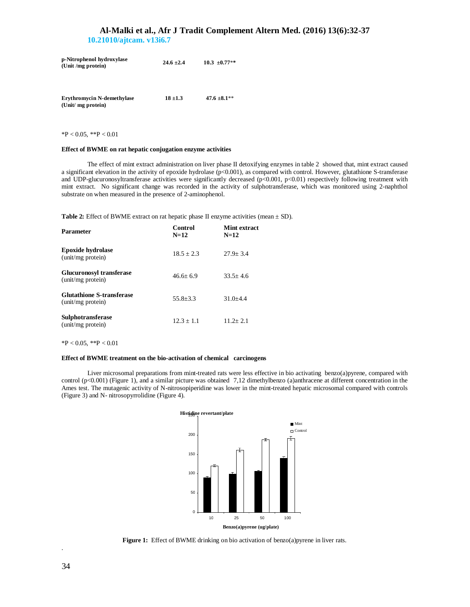**10.21010/ajtcam. v13i6.7**

| p-Nitrophenol hydroxylase<br>(Unit /mg protein) | $24.6 \pm 2.4$ | $10.3 \pm 0.77**$ |
|-------------------------------------------------|----------------|-------------------|
|                                                 |                |                   |

| <b>Erythromycin N-demethylase</b> | $18 + 1.3$ | $47.6 \pm 8.1$ ** |
|-----------------------------------|------------|-------------------|
| (Unit/ mg protein)                |            |                   |

 $*P < 0.05$ ,  $*P < 0.01$ 

#### **Effect of BWME on rat hepatic conjugation enzyme activities**

The effect of mint extract administration on liver phase II detoxifying enzymes in table 2 showed that, mint extract caused a significant elevation in the activity of epoxide hydrolase (p<0.001), as compared with control. However, glutathione S-transferase and UDP-glucuronosyltransferase activities were significantly decreased  $(p<0.001, p<0.01)$  respectively following treatment with mint extract. No significant change was recorded in the activity of sulphotransferase, which was monitored using 2-naphthol substrate on when measured in the presence of 2-aminophenol.

**Table 2:** Effect of BWME extract on rat hepatic phase II enzyme activities (mean  $\pm$  SD).

| <b>Parameter</b>                                      | Control<br>$N=12$ | Mint extract<br>$N=12$ |
|-------------------------------------------------------|-------------------|------------------------|
| Epoxide hydrolase<br>(unit/mg protein)                | $18.5 + 2.3$      | $27.9 + 3.4$           |
| <b>Glucuronosyl transferase</b><br>(unit/mg protein)  | $46.6 + 6.9$      | $33.5 + 4.6$           |
| <b>Glutathione S-transferase</b><br>(unit/mg protein) | $55.8 + 3.3$      | $31.0 + 4.4$           |
| <b>Sulphotransferase</b><br>(unit/mg protein)         | $12.3 + 1.1$      | $11.2 + 2.1$           |

 $*P < 0.05$ ,  $*P < 0.01$ 

#### **Effect of BWME treatment on the bio-activation of chemical carcinogens**

Liver microsomal preparations from mint-treated rats were less effective in bio activating benzo(a)pyrene, compared with control (p<0.001) (Figure 1), and a similar picture was obtained 7,12 dimethylbenzo (a)anthracene at different concentration in the Ames test. The mutagenic activity of N-nitrosopiperidine was lower in the mint-treated hepatic microsomal compared with controls (Figure 3) and N- nitrosopyrrolidine (Figure 4).



Figure 1: Effect of BWME drinking on bio activation of benzo(a)pyrene in liver rats.

.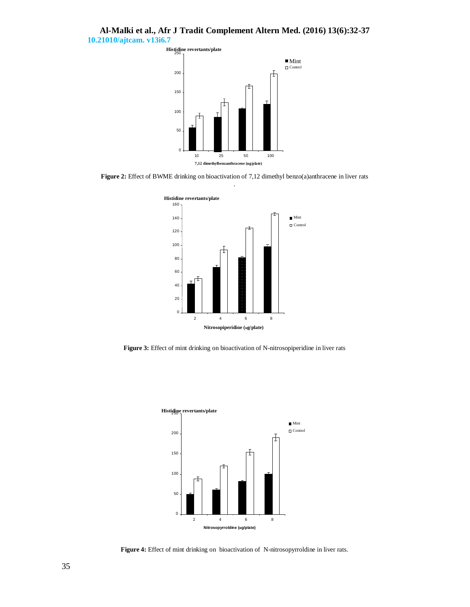# **Al-Malki et al., Afr J Tradit Complement Altern Med. (2016) 13(6):32-37 10.21010/ajtcam. v13i6.7**



**Figure 2:** Effect of BWME drinking on bioactivation of 7,12 dimethyl benzo(a)anthracene in liver rats



**Figure 3:** Effect of mint drinking on bioactivation of N-nitrosopiperidine in liver rats



**Figure 4:** Effect of mint drinking on bioactivation of N-nitrosopyrroldine in liver rats.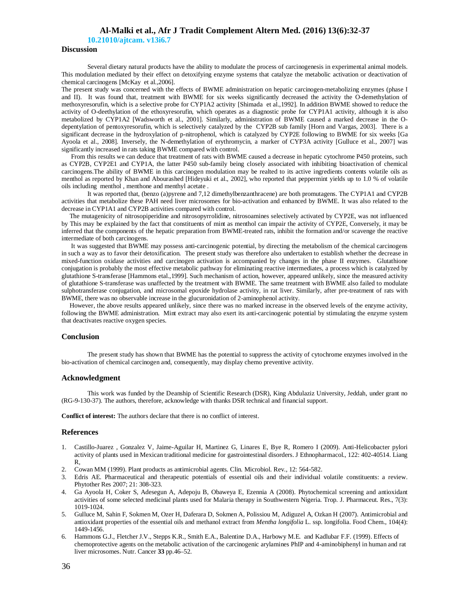**10.21010/ajtcam. v13i6.7**

## **Discussion**

Several dietary natural products have the ability to modulate the process of carcinogenesis in experimental animal models. This modulation mediated by their effect on detoxifying enzyme systems that catalyze the metabolic activation or deactivation of chemical carcinogens [McKay et al.,2006].

The present study was concerned with the effects of BWME administration on hepatic carcinogen-metabolizing enzymes (phase I and II). It was found that, treatment with BWME for six weeks significantly decreased the activity the O-demethylation of methoxyresorufin, which is a selective probe for CYP1A2 activity [Shimada et al.,1992]. In addition BWME showed to reduce the activity of O-deethylation of the ethoxyresorufin, which operates as a diagnostic probe for CYP1A1 activity, although it is also metabolized by CYP1A2 [Wadsworth et al., 2001]. Similarly, administration of BWME caused a marked decrease in the Odepentylation of pentoxyresorufin, which is selectively catalyzed by the CYP2B sub family [Horn and Vargas, 2003]. There is a significant decrease in the hydroxylation of p-nitrophenol, which is catalyzed by CYP2E following to BWME for six weeks [Ga Ayoola et al., 2008]. Inversely, the N-demethylation of erythromycin, a marker of CYP3A activity [Gulluce et al., 2007] was significantly increased in rats taking BWME compared with control.

 From this results we can deduce that treatment of rats with BWME caused a decrease in hepatic cytochrome P450 proteins, such as CYP2B, CYP2E1 and CYP1A, the latter P450 sub-family being closely associated with inhibiting bioactivation of chemical carcinogens.The ability of BWME in this carcinogen modulation may be realted to its active ingredients contents volatile oils as menthol as reported by Khan and Abourashed [Hideyuki et al., 2002], who reported that peppermint yields up to 1.0 % of volatile oils including menthol , menthone and menthyl acetate .

It was reported that, (benzo (a)pyrene and 7,12 dimethylbenzanthracene) are both promutagens. The CYP1A1 and CYP2B activities that metabolize these PAH need liver microsomes for bio-activation and enhanced by BWME. It was also related to the decrease in CYP1A1 and CYP2B activities compared with control.

 The mutagenicity of nitrosopiperidine and nitrosopyrrolidine, nitrosoamines selectively activated by CYP2E, was not influenced by This may be explained by the fact that constituents of mint as menthol can impair the activity of CYP2E, Conversely, it may be inferred that the components of the hepatic preparation from BWME-treated rats, inhibit the formation and/or scavenge the reactive intermediate of both carcinogens.

 It was suggested that BWME may possess anti-carcinogenic potential, by directing the metabolism of the chemical carcinogens in such a way as to favor their detoxification. The present study was therefore also undertaken to establish whether the decrease in mixed-function oxidase activities and carcinogen activation is accompanied by changes in the phase II enzymes. Glutathione conjugation is probably the most effective metabolic pathway for eliminating reactive intermediates, a process which is catalyzed by glutathione S-transferase [Hammons etal.,1999]. Such mechanism of action, however, appeared unlikely, since the measured activity of glutathione S-transferase was unaffected by the treatment with BWME. The same treatment with BWME also failed to modulate sulphotransferase conjugation, and microsomal epoxide hydrolase activity, in rat liver. Similarly, after pre-treatment of rats with BWME, there was no observable increase in the glucuronidation of 2-aminophenol activity.

 However, the above results appeared unlikely, since there was no marked increase in the observed levels of the enzyme activity, following the BWME administration. Mint extract may also exert its anti-carcinogenic potential by stimulating the enzyme system that deactivates reactive oxygen species.

## **Conclusion**

The present study has shown that BWME has the potential to suppress the activity of cytochrome enzymes involved in the bio-activation of chemical carcinogen and, consequently, may display chemo preventive activity.

## **Acknowledgment**

This work was funded by the Deanship of Scientific Research (DSR), King Abdulaziz University, Jeddah, under grant no (RG-9-130-37). The authors, therefore, acknowledge with thanks DSR technical and financial support.

**Conflict of interest:** The authors declare that there is no conflict of interest.

#### **References**

- 1. Castillo-Juarez , Gonzalez V, Jaime-Aguilar H, Martinez G, Linares E, Bye R, Romero I (2009). Anti-Helicobacter pylori activity of plants used in Mexican traditional medicine for gastrointestinal disorders. J Ethnopharmacol., 122: 402-40514. Liang R,
- 2. Cowan MM (1999). Plant products as antimicrobial agents. Clin. Microbiol. Rev., 12: 564-582.
- 3. Edris AE. Pharmaceutical and therapeutic potentials of essential oils and their individual volatile constituents: a review. Phytother Res 2007; 21: 308-323.
- 4. Ga Ayoola H, Coker S, Adesegun A, Adepoju B, Obaweya E, Ezennia A (2008). Phytochemical screening and antioxidant activities of some selected medicinal plants used for Malaria therapy in Southwestern Nigeria. Trop. J. Pharmaceut. Res., 7(3): 1019-1024.
- 5. Gulluce M, Sahin F, Sokmen M, Ozer H, Daferara D, Sokmen A, Polissiou M, Adiguzel A, Ozkan H (2007). Antimicrobial and antioxidant properties of the essential oils and methanol extract from *Mentha longifolia* L. ssp. longifolia. Food Chem., 104(4): 1449-1456.
- 6. Hammons G.J., Fletcher J.V., Stepps K.R., Smith E.A., Balentine D.A., Harbowy M.E. and Kadlubar F.F. (1999). Effects of chemoprotective agents on the metabolic activation of the carcinogenic arylamines PhIP and 4-aminobiphenyl in human and rat liver microsomes. Nutr. Cancer **33** pp.46–52.